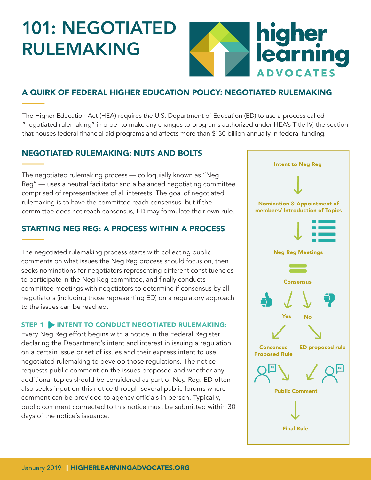# 101: NEGOTIATED RULEMAKING



## A QUIRK OF FEDERAL HIGHER EDUCATION POLICY: NEGOTIATED RULEMAKING

The Higher Education Act (HEA) requires the U.S. Department of Education (ED) to use a process called "negotiated rulemaking" in order to make any changes to programs authorized under HEA's Title IV, the section that houses federal fnancial aid programs and affects more than \$130 billion annually in federal funding.

### NEGOTIATED RULEMAKING: NUTS AND BOLTS

The negotiated rulemaking process — colloquially known as "Neg Reg" — uses a neutral facilitator and a balanced negotiating committee comprised of representatives of all interests. The goal of negotiated rulemaking is to have the committee reach consensus, but if the committee does not reach consensus, ED may formulate their own rule.

## STARTING NEG REG: A PROCESS WITHIN A PROCESS

The negotiated rulemaking process starts with collecting public comments on what issues the Neg Reg process should focus on, then seeks nominations for negotiators representing different constituencies to participate in the Neg Reg committee, and finally conducts committee meetings with negotiators to determine if consensus by all negotiators (including those representing ED) on a regulatory approach to the issues can be reached.

#### STEP 1 INTENT TO CONDUCT NEGOTIATED RULEMAKING:

Every Neg Reg effort begins with a notice in the Federal Register declaring the Department's intent and interest in issuing a regulation on a certain issue or set of issues and their express intent to use negotiated rulemaking to develop those regulations. The notice requests public comment on the issues proposed and whether any additional topics should be considered as part of Neg Reg. ED often also seeks input on this notice through several public forums where comment can be provided to agency officials in person. Typically, public comment connected to this notice must be submitted within 30 days of the notice's issuance.